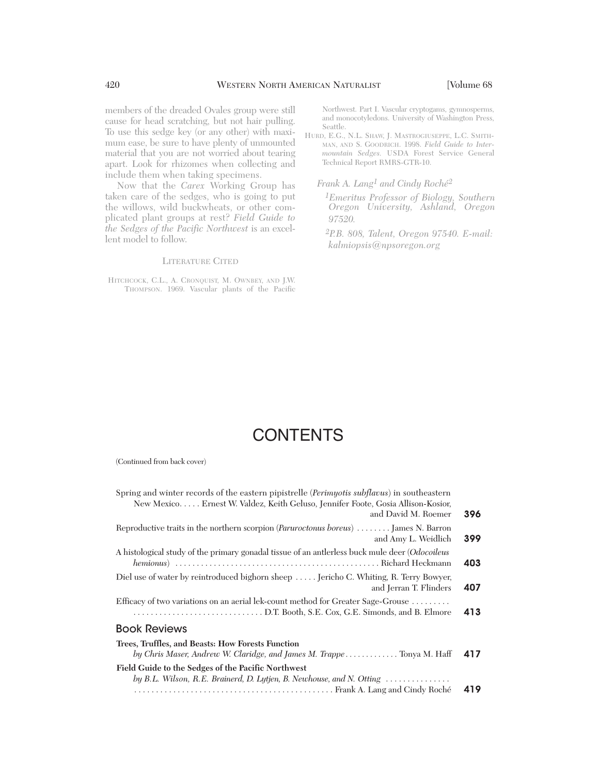members of the dreaded Ovales group were still cause for head scratching, but not hair pulling. To use this sedge key (or any other) with maximum ease, be sure to have plenty of unmounted material that you are not worried about tearing apart. Look for rhizomes when collecting and include them when taking specimens.

Now that the *Carex* Working Group has taken care of the sedges, who is going to put the willows, wild buckwheats, or other complicated plant groups at rest? *Field Guide to the Sedges of the Pacific Northwest* is an excellent model to follow.

#### LITERATURE CITED

HITCHCOCK, C.L., A. CRONQUIST, M. OWNBEY, AND J.W. THOMPSON. 1969. Vascular plants of the Pacific Northwest. Part I. Vascular cryptogams, gymnosperms, and monocotyledons. University of Washington Press, Seattle.

HURD, E.G., N.L. SHAW, J. MASTROGIUSEPPE, L.C. SMITH-MAN, AND S. GOODRICH. 1998. *Field Guide to Intermountain Sedges.* USDA Forest Service General Technical Report RMRS-GTR-10.

*Frank A. Lang1 and Cindy Roché2*

*1Emeritus Professor of Biology, Southern Oregon University, Ashland, Oregon 97520.*

 *2P.B. 808, Talent, Oregon 97540. E-mail: kalmiopsis@npsoregon.org*

## **CONTENTS**

(Continued from back cover)

| Spring and winter records of the eastern pipistrelle ( <i>Perimyotis subflacus</i> ) in southeastern<br>New Mexico Ernest W. Valdez, Keith Geluso, Jennifer Foote, Gosia Allison-Kosior,<br>and David M. Roemer | 396 |
|-----------------------------------------------------------------------------------------------------------------------------------------------------------------------------------------------------------------|-----|
| Reproductive traits in the northern scorpion (Paruroctonus boreus)  James N. Barron<br>and Amy L. Weidlich                                                                                                      | 399 |
| A histological study of the primary gonadal tissue of an antierless buck mule deer ( <i>Odocoileus</i>                                                                                                          | 403 |
| Diel use of water by reintroduced bighorn sheep  Jericho C. Whiting, R. Terry Bowyer,<br>and Jerran T. Flinders                                                                                                 | 407 |
| Efficacy of two variations on an aerial lek-count method for Greater Sage-Grouse                                                                                                                                | 413 |
| <b>Book Reviews</b>                                                                                                                                                                                             |     |
| Trees, Truffles, and Beasts: How Forests Function<br>by Chris Maser, Andrew W. Claridge, and James M. Trappe Tonya M. Haff                                                                                      | 417 |
| Field Guide to the Sedges of the Pacific Northwest<br>by B.L. Wilson, R.E. Brainerd, D. Lytjen, B. Newhouse, and N. Otting $\dots\dots\dots\dots\dots$                                                          |     |
|                                                                                                                                                                                                                 | 419 |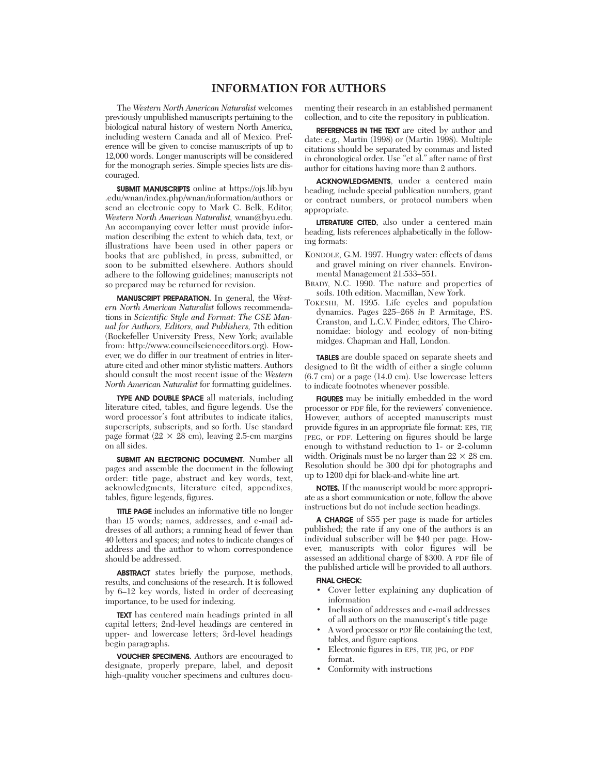### **INFORMATION FOR AUTHORS**

The *Western North American Naturalist* welcomes previously unpublished manuscripts pertaining to the biological natural history of western North America, including western Canada and all of Mexico. Preference will be given to concise manuscripts of up to 12,000 words. Longer manuscripts will be considered for the monograph series. Simple species lists are discouraged.

SUBMIT MANUSCRIPTS online at https://ojs.lib.byu .edu/wnan/index.php/wnan/information/authors or send an electronic copy to Mark C. Belk, Editor, *Western North American Naturalist,* wnan@byu.edu. An accompanying cover letter must provide information describing the extent to which data, text, or illustrations have been used in other papers or books that are published, in press, submitted, or soon to be submitted elsewhere. Authors should adhere to the following guidelines; manuscripts not so prepared may be returned for revision.

MANUSCRIPT PREPARATION. In general, the *Western North American Naturalist* follows recommendations in *Scientific Style and Format: The CSE Manual for Authors, Editors, and Publishers,* 7th edition (Rockefeller University Press, New York; available from: http://www.councilscienceeditors.org). However, we do differ in our treatment of entries in literature cited and other minor stylistic matters. Authors should consult the most recent issue of the *Western North American Naturalist* for formatting guidelines.

TYPE AND DOUBLE SPACE all materials, including literature cited, tables, and figure legends. Use the word processor's font attributes to indicate italics, superscripts, subscripts, and so forth. Use standard page format ( $22 \times 28$  cm), leaving 2.5-cm margins on all sides.

SUBMIT AN ELECTRONIC DOCUMENT. Number all pages and assemble the document in the following order: title page, abstract and key words, text, acknowledgments, literature cited, appendixes, tables, figure legends, figures.

TITLE PAGE includes an informative title no longer than 15 words; names, addresses, and e-mail ad dresses of all authors; a running head of fewer than 40 letters and spaces; and notes to indicate changes of address and the author to whom correspondence should be addressed.

ABSTRACT states briefly the purpose, methods, results, and conclusions of the research. It is followed by 6–12 key words, listed in order of decreasing importance, to be used for indexing.

TEXT has centered main headings printed in all capital letters; 2nd-level headings are centered in upper- and lowercase letters; 3rd-level headings begin paragraphs.

VOUCHER SPECIMENS. Authors are encouraged to designate, properly prepare, label, and deposit high-quality voucher specimens and cultures docu-

menting their research in an established permanent collection, and to cite the repository in publication.

REFERENCES IN THE TEXT are cited by author and date: e.g., Martin (1998) or (Martin 1998). Multiple citations should be separated by commas and listed in chronological order. Use "et al." after name of first author for citations having more than 2 authors.

ACKNOWLEDGMENTS, under a centered main heading, include special publication numbers, grant or contract numbers, or protocol numbers when appropriate.

LITERATURE CITED, also under a centered main heading, lists references alphabetically in the following formats:

- KONDOLE, G.M. 1997. Hungry water: effects of dams and gravel mining on river channels. Environmental Management 21:533–551.
- BRADY, N.C. 1990. The nature and properties of soils. 10th edition. Macmillan, New York.
- TOKESHI, M. 1995. Life cycles and population dynamics. Pages 225–268 *in* P. Armitage, P.S. Cranston, and L.C.V. Pinder, editors, The Chironomidae: biology and ecology of non-biting midges. Chapman and Hall, London.

TABLES are double spaced on separate sheets and designed to fit the width of either a single column (6.7 cm) or a page (14.0 cm). Use lowercase letters to indicate footnotes whenever possible.

FIGURES may be initially embedded in the word processor or PDF file, for the reviewers' convenience. However, authors of accepted manuscripts must provide figures in an appropriate file format: EPS, TIF, JPEG, or PDF. Lettering on figures should be large enough to withstand reduction to 1- or 2-column width. Originals must be no larger than  $22 \times 28$  cm. Resolution should be 300 dpi for photographs and up to 1200 dpi for black-and-white line art.

NOTES. If the manuscript would be more appropri ate as a short communication or note, follow the above instructions but do not include section headings.

A CHARGE of \$55 per page is made for articles published; the rate if any one of the authors is an individual subscriber will be \$40 per page. However, manuscripts with color figures will be assessed an additional charge of \$300. A PDF file of the published article will be provided to all authors.

#### FINAL CHECK:

- Cover letter explaining any duplication of information
- Inclusion of addresses and e-mail addresses of all authors on the manuscript's title page
- A word processor or PDF file containing the text, tables, and figure captions.
- Electronic figures in EPS, TIF, JPG, or PDF format.
- Conformity with instructions